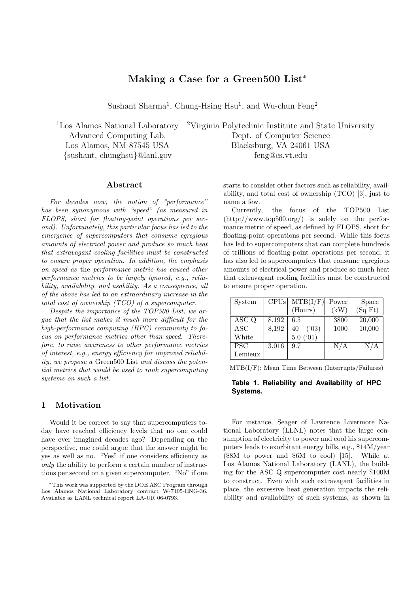# **Making a Case for a Green500 List**<sup>∗</sup>

Sushant Sharma<sup>1</sup>, Chung-Hsing Hsu<sup>1</sup>, and Wu-chun Feng<sup>2</sup>

### **Abstract**

*For decades now, the notion of "performance" has been synonymous with "speed" (as measured in FLOPS, short for floating-point operations per second). Unfortunately, this particular focus has led to the emergence of supercomputers that consume egregious amounts of electrical power and produce so much heat that extravagant cooling facilities must be constructed to ensure proper operation. In addition, the emphasis on speed as* the *performance metric has caused other performance metrics to be largely ignored, e.g., reliability, availability, and usability. As a consequence, all of the above has led to an extraordinary increase in the total cost of ownership (TCO) of a supercomputer.*

*Despite the importance of the TOP500 List, we argue that the list makes it much more difficult for the high-performance computing (HPC) community to focus on performance metrics other than speed. Therefore, to raise awareness to other performance metrics of interest, e.g., energy efficiency for improved reliability, we propose a* Green500 List *and discuss the potential metrics that would be used to rank supercomputing systems on such a list.*

# **1 Motivation**

Would it be correct to say that supercomputers today have reached efficiency levels that no one could have ever imagined decades ago? Depending on the perspective, one could argue that the answer might be yes as well as no. "Yes" if one considers efficiency as *only* the ability to perform a certain number of instructions per second on a given supercomputer. "No" if one

<sup>1</sup>Los Alamos National Laboratory <sup>2</sup>Virginia Polytechnic Institute and State University Advanced Computing Lab. Dept. of Computer Science Los Alamos, NM 87545 USA Blacksburg, VA 24061 USA {sushant, chunghsu}@lanl.gov feng@cs.vt.edu

> starts to consider other factors such as reliability, availability, and total cost of ownership (TCO) [3], just to name a few.

> Currently, the focus of the TOP500 List (http://www.top500.org/) is solely on the performance metric of speed, as defined by FLOPS, short for floating-point operations per second. While this focus has led to supercomputers that can complete hundreds of trillions of floating-point operations per second, it has also led to supercomputers that consume egregious amounts of electrical power and produce so much heat that extravagant cooling facilities must be constructed to ensure proper operation.

| System     | CPUs  | $MTB(I/\overline{F})$ | Power | Space  |
|------------|-------|-----------------------|-------|--------|
|            |       | (Hours)               | (kW)  | (SqFt) |
| ASC Q      | 8,192 | 6.5                   | 3800  | 20,000 |
| $\rm{ASC}$ | 8,192 | (103)<br>40           | 1000  | 10,000 |
| White      |       | 5.0(01)               |       |        |
| <b>PSC</b> | 3,016 | 9.7                   | N/A   | N/A    |
| Lemieux    |       |                       |       |        |

MTB(I/F): Mean Time Between (Interrupts/Failures)

# **Table 1. Reliability and Availability of HPC Systems.**

For instance, Seager of Lawrence Livermore National Laboratory (LLNL) notes that the large consumption of electricity to power and cool his supercomputers leads to exorbitant energy bills, e.g., \$14M/year (\$8M to power and \$6M to cool) [15]. While at Los Alamos National Laboratory (LANL), the building for the ASC Q supercomputer cost nearly \$100M to construct. Even with such extravagant facilities in place, the excessive heat generation impacts the reliability and availability of such systems, as shown in

<sup>∗</sup>This work was supported by the DOE ASC Program through Los Alamos National Laboratory contract W-7405-ENG-36. Available as LANL technical report LA-UR 06-0793.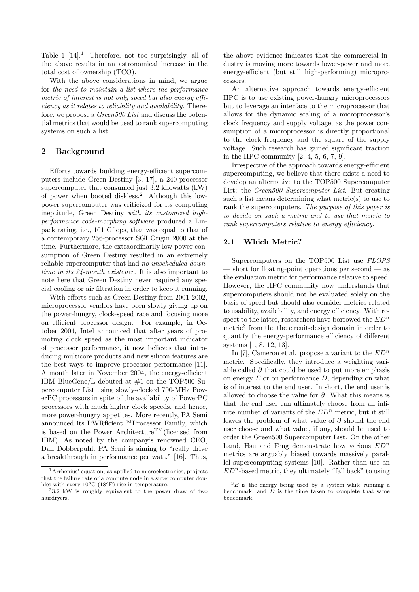Table 1  $[14]$ <sup>1</sup>. Therefore, not too surprisingly, all of the above results in an astronomical increase in the total cost of ownership (TCO).

With the above considerations in mind, we argue for *the need to maintain a list where the performance metric of interest is not only speed but also energy efficiency as it relates to reliability and availability*. Therefore, we propose a *Green500 List* and discuss the potential metrics that would be used to rank supercomputing systems on such a list.

# **2 Background**

Efforts towards building energy-efficient supercomputers include Green Destiny [3, 17], a 240-processor supercomputer that consumed just 3.2 kilowatts (kW) of power when booted diskless.<sup>2</sup> Although this lowpower supercomputer was criticized for its computing ineptitude, Green Destiny *with its customized highperformance code-morphing software* produced a Linpack rating, i.e., 101 Gflops, that was equal to that of a contemporary 256-processor SGI Origin 2000 at the time. Furthermore, the extraordinarily low power consumption of Green Destiny resulted in an extremely reliable supercomputer that had *no unscheduled downtime in its 24-month existence*. It is also important to note here that Green Destiny never required any special cooling or air filtration in order to keep it running.

With efforts such as Green Destiny from 2001-2002, microprocessor vendors have been slowly giving up on the power-hungry, clock-speed race and focusing more on efficient processor design. For example, in October 2004, Intel announced that after years of promoting clock speed as the most important indicator of processor performance, it now believes that introducing multicore products and new silicon features are the best ways to improve processor performance [11]. A month later in November 2004, the energy-efficient IBM BlueGene/L debuted at #1 on the TOP500 Supercomputer List using slowly-clocked 700-MHz PowerPC processors in spite of the availability of PowerPC processors with much higher clock speeds, and hence, more power-hungry appetites. More recently, PA Semi announced its PWRficient<sup>TM</sup>Processor Family, which is based on the Power Architecture<sup>TM</sup>(licensed from IBM). As noted by the company's renowned CEO, Dan Dobberpuhl, PA Semi is aiming to "really drive a breakthrough in performance per watt." [16]. Thus,

the above evidence indicates that the commercial industry is moving more towards lower-power and more energy-efficient (but still high-performing) microprocessors.

An alternative approach towards energy-efficient HPC is to use existing power-hungry microprocessors but to leverage an interface to the microprocessor that allows for the dynamic scaling of a microprocessor's clock frequency and supply voltage, as the power consumption of a microprocessor is directly proportional to the clock frequency and the square of the supply voltage. Such research has gained significant traction in the HPC community [2, 4, 5, 6, 7, 9].

Irrespective of the approach towards energy-efficient supercomputing, we believe that there exists a need to develop an alternative to the TOP500 Supercomputer List: the *Green500 Supercomputer List*. But creating such a list means determining what metric(s) to use to rank the supercomputers. *The purpose of this paper is to decide on such a metric and to use that metric to rank supercomputers relative to energy efficiency.*

# **2.1 Which Metric?**

Supercomputers on the TOP500 List use *FLOPS* — short for floating-point operations per second — as the evaluation metric for performance relative to speed. However, the HPC community now understands that supercomputers should not be evaluated solely on the basis of speed but should also consider metrics related to usability, availability, and energy efficiency. With respect to the latter, researchers have borrowed the  $ED<sup>n</sup>$ metric<sup>3</sup> from the the circuit-design domain in order to quantify the energy-performance efficiency of different systems [1, 8, 12, 13].

In [7], Cameron et al. propose a variant to the  $ED<sup>n</sup>$ metric. Specifically, they introduce a weighting variable called  $\partial$  that could be used to put more emphasis on energy  $E$  or on performance  $D$ , depending on what is of interest to the end user. In short, the end user is allowed to choose the value for  $\partial$ . What this means is that the end user can ultimately choose from an infinite number of variants of the  $ED<sup>n</sup>$  metric, but it still leaves the problem of what value of ∂ should the end user choose and what value, if any, should be used to order the Green500 Supercomputer List. On the other hand, Hsu and Feng demonstrate how various  $ED<sup>n</sup>$ metrics are arguably biased towards massively parallel supercomputing systems [10]. Rather than use an  $ED<sup>n</sup>$ -based metric, they ultimately "fall back" to using

<sup>1</sup>Arrhenius' equation, as applied to microelectronics, projects that the failure rate of a compute node in a supercomputer doubles with every 10*o*C (18*o*F) rise in temperature.

<sup>2</sup>3.2 kW is roughly equivalent to the power draw of two hairdryers.

 $\overline{3E}$  is the energy being used by a system while running a benchmark, and *D* is the time taken to complete that same benchmark.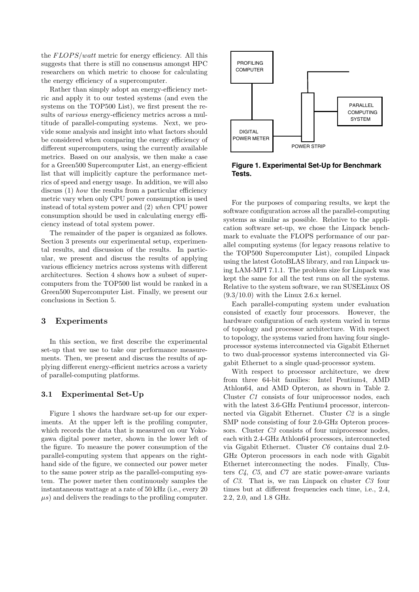the  $FLOPS/watt$  metric for energy efficiency. All this suggests that there is still no consensus amongst HPC researchers on which metric to choose for calculating the energy efficiency of a supercomputer.

Rather than simply adopt an energy-efficiency metric and apply it to our tested systems (and even the systems on the TOP500 List), we first present the results of *various* energy-efficiency metrics across a multitude of parallel-computing systems. Next, we provide some analysis and insight into what factors should be considered when comparing the energy efficiency of different supercomputers, using the currently available metrics. Based on our analysis, we then make a case for a Green500 Supercomputer List, an energy-efficient list that will implicitly capture the performance metrics of speed and energy usage. In addition, we will also discuss (1) *how* the results from a particular efficiency metric vary when only CPU power consumption is used instead of total system power and (2) *when* CPU power consumption should be used in calculating energy efficiency instead of total system power.

The remainder of the paper is organized as follows. Section 3 presents our experimental setup, experimental results, and discussion of the results. In particular, we present and discuss the results of applying various efficiency metrics across systems with different architectures. Section 4 shows how a subset of supercomputers from the TOP500 list would be ranked in a Green500 Supercomputer List. Finally, we present our conclusions in Section 5.

# **3 Experiments**

In this section, we first describe the experimental set-up that we use to take our performance measurements. Then, we present and discuss the results of applying different energy-efficient metrics across a variety of parallel-computing platforms.

#### **3.1 Experimental Set-Up**

Figure 1 shows the hardware set-up for our experiments. At the upper left is the profiling computer, which records the data that is measured on our Yokogawa digital power meter, shown in the lower left of the figure. To measure the power consumption of the parallel-computing system that appears on the righthand side of the figure, we connected our power meter to the same power strip as the parallel-computing system. The power meter then continuously samples the instantaneous wattage at a rate of 50 kHz (i.e., every 20  $\mu$ s) and delivers the readings to the profiling computer.



**Figure 1. Experimental Set-Up for Benchmark Tests.**

For the purposes of comparing results, we kept the software configuration across all the parallel-computing systems as similar as possible. Relative to the application software set-up, we chose the Linpack benchmark to evaluate the FLOPS performance of our parallel computing systems (for legacy reasons relative to the TOP500 Supercomputer List), compiled Linpack using the latest GotoBLAS library, and ran Linpack using LAM-MPI 7.1.1. The problem size for Linpack was kept the same for all the test runs on all the systems. Relative to the system software, we ran SUSELinux OS  $(9.3/10.0)$  with the Linux 2.6.x kernel.

Each parallel-computing system under evaluation consisted of exactly four processors. However, the hardware configuration of each system varied in terms of topology and processor architecture. With respect to topology, the systems varied from having four singleprocessor systems interconnected via Gigabit Ethernet to two dual-processor systems interconnected via Gigabit Ethernet to a single quad-processor system.

With respect to processor architecture, we drew from three 64-bit families: Intel Pentium4, AMD Athlon64, and AMD Opteron, as shown in Table 2. Cluster *C1* consists of four uniprocessor nodes, each with the latest 3.6-GHz Pentium4 processor, interconnected via Gigabit Ethernet. Cluster *C2* is a single SMP node consisting of four 2.0-GHz Opteron processors. Cluster *C3* consists of four uniprocessor nodes, each with 2.4-GHz Athlon64 processors, interconnected via Gigabit Ethernet. Cluster *C6* contains dual 2.0- GHz Opteron processors in each node with Gigabit Ethernet interconnecting the nodes. Finally, Clusters *C4*, *C5*, and *C7* are static power-aware variants of *C3*. That is, we ran Linpack on cluster *C3* four times but at different frequencies each time, i.e., 2.4, 2.2, 2.0, and 1.8 GHz.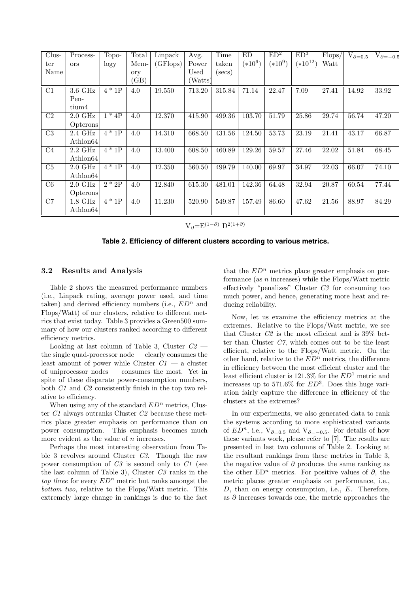| Clus-           | Process-             | Topo-             | Total | Linpack  | Avg.    | Time       | ED        | ED <sup>2</sup> | ED <sup>3</sup> | Flops/ | $V_{\partial=0.5}$ | $V_{\partial=-0.5}$ |
|-----------------|----------------------|-------------------|-------|----------|---------|------------|-----------|-----------------|-----------------|--------|--------------------|---------------------|
| ter             | <b>ors</b>           | logy              | Mem-  | (GFlops) | Power   | taken      | $(*10^6)$ | $(*10^9)$       | $(*10^{12})$    | Watt   |                    |                     |
| Name            |                      |                   | ory   |          | Used    | $(\sec s)$ |           |                 |                 |        |                    |                     |
|                 |                      |                   | (GB)  |          | (Watts) |            |           |                 |                 |        |                    |                     |
| C1              | $3.6$ GHz            | $4 * 1P$          | 4.0   | 19.550   | 713.20  | 315.84     | 71.14     | 22.47           | 7.09            | 27.41  | 14.92              | 33.92               |
|                 | Pen-                 |                   |       |          |         |            |           |                 |                 |        |                    |                     |
|                 | tium4                |                   |       |          |         |            |           |                 |                 |        |                    |                     |
| C <sub>2</sub>  | $2.0\text{ GHz}$     | $1*4P$            | 4.0   | 12.370   | 415.90  | 499.36     | 103.70    | 51.79           | 25.86           | 29.74  | 56.74              | 47.20               |
|                 | Opterons             |                   |       |          |         |            |           |                 |                 |        |                    |                     |
| $\overline{C3}$ | 2.4 GHz              | $\overline{4*1P}$ | 4.0   | 14.310   | 668.50  | 431.56     | 124.50    | 53.73           | 23.19           | 21.41  | 43.17              | 66.87               |
|                 | Athlon <sub>64</sub> |                   |       |          |         |            |           |                 |                 |        |                    |                     |
| C <sub>4</sub>  | $2.2\text{ GHz}$     | $4*1P$            | 4.0   | 13.400   | 608.50  | 460.89     | 129.26    | 59.57           | 27.46           | 22.02  | 51.84              | 68.45               |
|                 | $\mathrm{Athlon}64$  |                   |       |          |         |            |           |                 |                 |        |                    |                     |
| C5              | $2.0\text{ GHz}$     | $\overline{4*1P}$ | 4.0   | 12.350   | 560.50  | 499.79     | 140.00    | 69.97           | 34.97           | 22.03  | 66.07              | 74.10               |
|                 | $\mathrm{Athlon}64$  |                   |       |          |         |            |           |                 |                 |        |                    |                     |
| C6              | $2.0\text{ GHz}$     | $\overline{2*2P}$ | 4.0   | 12.840   | 615.30  | 481.01     | 142.36    | 64.48           | 32.94           | 20.87  | 60.54              | 77.44               |
|                 | Opterons             |                   |       |          |         |            |           |                 |                 |        |                    |                     |
| C7              | $1.8\text{ GHz}$     | $\overline{4*1P}$ | 4.0   | 11.230   | 520.90  | 549.87     | 157.49    | 86.60           | 47.62           | 21.56  | 88.97              | 84.29               |
|                 | $\mathrm{Athlon}64$  |                   |       |          |         |            |           |                 |                 |        |                    |                     |

V∂=E(1*−*∂) D2(1+∂)

**Table 2. Efficiency of different clusters according to various metrics.**

#### **3.2 Results and Analysis**

Table 2 shows the measured performance numbers (i.e., Linpack rating, average power used, and time taken) and derived efficiency numbers (i.e.,  $ED<sup>n</sup>$  and Flops/Watt) of our clusters, relative to different metrics that exist today. Table 3 provides a Green500 summary of how our clusters ranked according to different efficiency metrics.

Looking at last column of Table 3, Cluster *C2* the single quad-processor node — clearly consumes the least amount of power while Cluster  $C1$  — a cluster of uniprocessor nodes — consumes the most. Yet in spite of these disparate power-consumption numbers, both *C1* and *C2* consistently finish in the top two relative to efficiency.

When using any of the standard  $ED<sup>n</sup>$  metrics, Cluster *C1* always outranks Cluster *C2* because these metrics place greater emphasis on performance than on power consumption. This emphasis becomes much more evident as the value of *n* increases.

Perhaps the most interesting observation from Table 3 revolves around Cluster *C3*. Though the raw power consumption of *C3* is second only to *C1* (see the last column of Table 3), Cluster *C3* ranks in the *top three* for every  $ED<sup>n</sup>$  metric but ranks amongst the *bottom two*, relative to the Flops/Watt metric. This extremely large change in rankings is due to the fact

that the  $ED<sup>n</sup>$  metrics place greater emphasis on performance (as  $n$  increases) while the Flops/Watt metric effectively "penalizes" Cluster *C3* for consuming too much power, and hence, generating more heat and reducing reliability.

Now, let us examine the efficiency metrics at the extremes. Relative to the Flops/Watt metric, we see that Cluster *C2* is the most efficient and is 39% better than Cluster *C7*, which comes out to be the least efficient, relative to the Flops/Watt metric. On the other hand, relative to the  $ED<sup>n</sup>$  metrics, the difference in efficiency between the most efficient cluster and the least efficient cluster is  $121.3\%$  for the  $ED<sup>1</sup>$  metric and increases up to 571.6\% for  $ED^3$ . Does this huge variation fairly capture the difference in efficiency of the clusters at the extremes?

In our experiments, we also generated data to rank the systems according to more sophisticated variants of  $ED<sup>n</sup>$ , i.e.,  $V_{\partial=0.5}$  and  $V_{\partial=-0.5}$ . For details of how these variants work, please refer to [7]. The results are presented in last two columns of Table 2. Looking at the resultant rankings from these metrics in Table 3, the negative value of  $\partial$  produces the same ranking as the other ED<sup>n</sup> metrics. For positive values of  $\partial$ , the metric places greater emphasis on performance, i.e., D, than on energy consumption, i.e., E. Therefore, as  $\partial$  increases towards one, the metric approaches the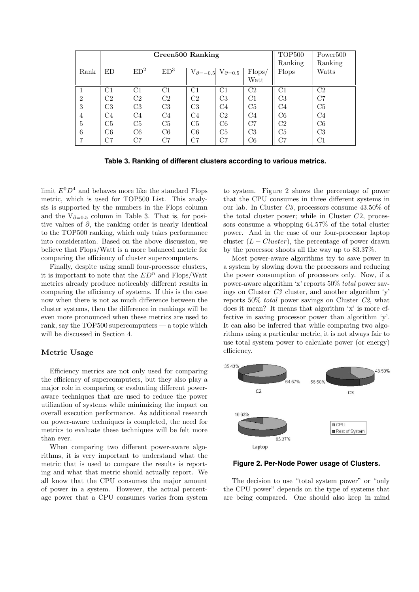|                | Green500 Ranking |                 |                 |                |                                        |                | TOP <sub>500</sub> | Power <sup>500</sup> |  |  |
|----------------|------------------|-----------------|-----------------|----------------|----------------------------------------|----------------|--------------------|----------------------|--|--|
|                |                  |                 |                 |                |                                        |                | Ranking<br>Ranking |                      |  |  |
| Rank           | ED               | ED <sup>2</sup> | ED <sup>3</sup> |                | $V_{\partial=-0.5}$ $V_{\partial=0.5}$ | Flops/         | Flops              | Watts                |  |  |
|                |                  |                 |                 |                |                                        | Watt           |                    |                      |  |  |
|                | $\rm C1$         | C <sub>1</sub>  | $\rm C1$        | $\rm C1$       | $\rm C1$                               | C2             | $\mathrm{C}1$      | C <sub>2</sub>       |  |  |
| $\overline{2}$ | C2               | C <sub>2</sub>  | C2              | C2             | C <sub>3</sub>                         | $\mathrm{C}1$  | C3                 | C7                   |  |  |
| 3              | C <sub>3</sub>   | C <sub>3</sub>  | C <sub>3</sub>  | C <sub>3</sub> | C4                                     | C <sub>5</sub> | C4                 | C5                   |  |  |
| 4              | C4               | C <sub>4</sub>  | C4              | C4             | C <sub>2</sub>                         | C4             | C6                 | C <sub>4</sub>       |  |  |
| 5              | C5               | C5              | C5              | C <sub>5</sub> | C6                                     | C7             | C2                 | C6                   |  |  |
| 6              | C6               | C6              | C6              | C6             | C5                                     | C3             | C5                 | C <sub>3</sub>       |  |  |
|                | $_{\rm C7}$      | C7              | C7              | C7             | C7                                     | C6             | С7                 | C1                   |  |  |

**Table 3. Ranking of different clusters according to various metrics.**

limit  $E^0 D^4$  and behaves more like the standard Flops metric, which is used for TOP500 List. This analysis is supported by the numbers in the Flops column and the  $V_{\partial=0.5}$  column in Table 3. That is, for positive values of  $\partial$ , the ranking order is nearly identical to the TOP500 ranking, which only takes performance into consideration. Based on the above discussion, we believe that Flops/Watt is a more balanced metric for comparing the efficiency of cluster supercomputers.

Finally, despite using small four-processor clusters, it is important to note that the  $ED<sup>n</sup>$  and Flops/Watt metrics already produce noticeably different results in comparing the efficiency of systems. If this is the case now when there is not as much difference between the cluster systems, then the difference in rankings will be even more pronounced when these metrics are used to rank, say the TOP500 supercomputers — a topic which will be discussed in Section 4.

## **Metric Usage**

Efficiency metrics are not only used for comparing the efficiency of supercomputers, but they also play a major role in comparing or evaluating different poweraware techniques that are used to reduce the power utilization of systems while minimizing the impact on overall execution performance. As additional research on power-aware techniques is completed, the need for metrics to evaluate these techniques will be felt more than ever.

When comparing two different power-aware algorithms, it is very important to understand what the metric that is used to compare the results is reporting and what that metric should actually report. We all know that the CPU consumes the major amount of power in a system. However, the actual percentage power that a CPU consumes varies from system

to system. Figure 2 shows the percentage of power that the CPU consumes in three different systems in our lab. In Cluster *C3*, processors consume 43.50% of the total cluster power; while in Cluster  $C2$ , processors consume a whopping 64.57% of the total cluster power. And in the case of our four-processor laptop cluster  $(L - Cluster)$ , the percentage of power drawn by the processor shoots all the way up to 83.37%.

Most power-aware algorithms try to save power in a system by slowing down the processors and reducing the power consumption of processors only. Now, if a power-aware algorithm 'x' reports 50% *total* power savings on Cluster *C3* cluster, and another algorithm 'y' reports 50% *total* power savings on Cluster *C2*, what does it mean? It means that algorithm 'x' is more effective in saving processor power than algorithm 'y'. It can also be inferred that while comparing two algorithms using a particular metric, it is not always fair to use total system power to calculate power (or energy) efficiency.



**Figure 2. Per-Node Power usage of Clusters.**

The decision to use "total system power" or "only the CPU power" depends on the type of systems that are being compared. One should also keep in mind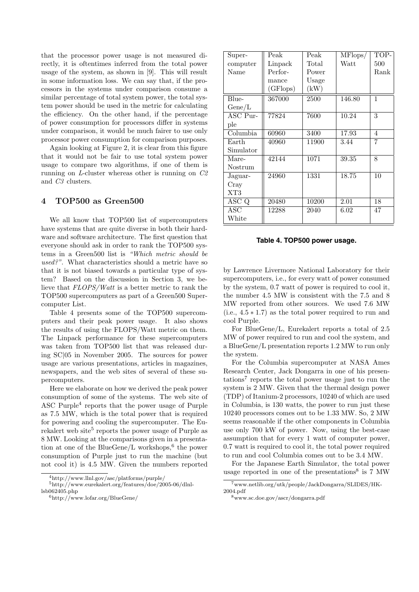that the processor power usage is not measured directly, it is oftentimes inferred from the total power usage of the system, as shown in [9]. This will result in some information loss. We can say that, if the processors in the systems under comparison consume a similar percentage of total system power, the total system power should be used in the metric for calculating the efficiency. On the other hand, if the percentage of power consumption for processors differ in systems under comparison, it would be much fairer to use only processor power consumption for comparison purposes.

Again looking at Figure 2, it is clear from this figure that it would not be fair to use total system power usage to compare two algorithms, if one of them is running on *L*-cluster whereas other is running on *C2* and *C3* clusters.

## **4 TOP500 as Green500**

We all know that TOP500 list of supercomputers have systems that are quite diverse in both their hardware and software architecture. The first question that everyone should ask in order to rank the TOP500 systems in a Green500 list is *"Which metric should be used?"*. What characteristics should a metric have so that it is not biased towards a particular type of system? Based on the discussion in Section 3, we believe that *FLOPS/Watt* is a better metric to rank the TOP500 supercomputers as part of a Green500 Supercomputer List.

Table 4 presents some of the TOP500 supercomputers and their peak power usage. It also shows the results of using the FLOPS/Watt metric on them. The Linpack performance for these supercomputers was taken from TOP500 list that was released during SC|05 in November 2005. The sources for power usage are various presentations, articles in magazines, newspapers, and the web sites of several of these supercomputers.

Here we elaborate on how we derived the peak power consumption of some of the systems. The web site of ASC Purple<sup>4</sup> reports that the power usage of Purple as 7.5 MW, which is the total power that is required for powering and cooling the supercomputer. The Eurekalert web site<sup>5</sup> reports the power usage of Purple as 8 MW. Looking at the comparisons given in a presentation at one of the BlueGene/L workshops,<sup>6</sup> the power consumption of Purple just to run the machine (but not cool it) is 4.5 MW. Given the numbers reported

| Super-                         | Peak     | Peak  | MFlops/ | TOP- |
|--------------------------------|----------|-------|---------|------|
| computer                       | Linpack  | Total | Watt    | 500  |
| Name                           | Perfor-  | Power |         | Rank |
|                                | mance    | Usage |         |      |
|                                | (GFlops) | (kW)  |         |      |
| Blue-                          | 367000   | 2500  | 146.80  | 1    |
| Gene/L                         |          |       |         |      |
| $\overline{\mathrm{ASC}}$ Pur- | 77824    | 7600  | 10.24   | 3    |
| ple                            |          |       |         |      |
| Column <sub>ba</sub>           | 60960    | 3400  | 17.93   | 4    |
| Earth                          | 40960    | 11900 | 3.44    | 7    |
| Simulator                      |          |       |         |      |
| Mare-                          | 42144    | 1071  | 39.35   | 8    |
| Nostrum                        |          |       |         |      |
| Jaguar-                        | 24960    | 1331  | 18.75   | 10   |
| Cray                           |          |       |         |      |
| XT3                            |          |       |         |      |
| ASC Q                          | 20480    | 10200 | 2.01    | 18   |
| ASC                            | 12288    | 2040  | 6.02    | 47   |
| White                          |          |       |         |      |

#### **Table 4. TOP500 power usage.**

by Lawrence Livermore National Laboratory for their supercomputers, i.e., for every watt of power consumed by the system, 0.7 watt of power is required to cool it, the number 4.5 MW is consistent with the 7.5 and 8 MW reported from other sources. We used 7.6 MW (i.e.,  $4.5 * 1.7$ ) as the total power required to run and cool Purple.

For BlueGene/L, Eurekalert reports a total of 2.5 MW of power required to run and cool the system, and a BlueGene/L presentation reports 1.2 MW to run only the system.

For the Columbia supercomputer at NASA Ames Research Center, Jack Dongarra in one of his presentations<sup>7</sup> reports the total power usage just to run the system is 2 MW. Given that the thermal design power (TDP) of Itanium-2 processors, 10240 of which are used in Columbia, is 130 watts, the power to run just these 10240 processors comes out to be 1.33 MW. So, 2 MW seems reasonable if the other components in Columbia use only 700 kW of power. Now, using the best-case assumption that for every 1 watt of computer power, 0.7 watt is required to cool it, the total power required to run and cool Columbia comes out to be 3.4 MW.

For the Japanese Earth Simulator, the total power usage reported in one of the presentations<sup>8</sup> is  $7 \text{ MW}$ 

<sup>4</sup>http://www.llnl.gov/asc/platforms/purple/

<sup>5</sup>http://www.eurekalert.org/features/doe/2005-06/dlnllsb062405.php

<sup>6</sup>http://www.lofar.org/BlueGene/

<sup>7</sup>www.netlib.org/utk/people/JackDongarra/SLIDES/HK-2004.pdf

<sup>8</sup>www.sc.doe.gov/ascr/dongarra.pdf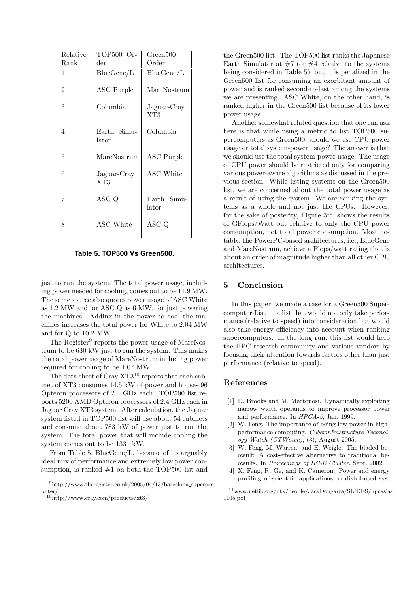| Relative | TOP500 Or-           | Green500                    |  |  |
|----------|----------------------|-----------------------------|--|--|
| Rank     | $_{\rm der}$         | Order                       |  |  |
| 1        | BlueGene/L           | BlueGene/L                  |  |  |
| 2        | <b>ASC</b> Purple    | MareNostrum                 |  |  |
| 3        | Columbia             | Jaguar-Cray<br>$_{\rm XT3}$ |  |  |
| 4        | Earth Simu-<br>lator | Columbia                    |  |  |
| 5        | MareNostrum          | <b>ASC</b> Purple           |  |  |
| 6        | Jaguar-Cray<br>XT3   | ASC White                   |  |  |
| 7        | ASC Q                | Earth Simu-<br>lator        |  |  |
| 8        | ASC White            | ASC Q                       |  |  |

**Table 5. TOP500 Vs Green500.**

just to run the system. The total power usage, including power needed for cooling, comes out to be 11.9 MW. The same source also quotes power usage of ASC White as 1.2 MW and for ASC Q as 6 MW, for just powering the machines. Adding in the power to cool the machines increases the total power for White to 2.04 MW and for Q to 10.2 MW.

The Register<sup>9</sup> reports the power usage of MareNostrum to be 630 kW just to run the system. This makes the total power usage of MareNostrum including power required for cooling to be 1.07 MW.

The data sheet of Cray  $XT3^{10}$  reports that each cabinet of XT3 consumes 14.5 kW of power and houses 96 Opteron processors of 2.4 GHz each. TOP500 list reports 5200 AMD Opteron processors of 2.4 GHz each in Jaguar Cray XT3 system. After calculation, the Jaguar system listed in TOP500 list will use about 54 cabinets and consume about 783 kW of power just to run the system. The total power that will include cooling the system comes out to be 1331 kW.

From Table 5, BlueGene/L, because of its arguably ideal mix of performance and extremely low power consumption, is ranked  $#1$  on both the TOP500 list and the Green500 list. The TOP500 list ranks the Japanese Earth Simulator at  $#7$  (or  $#4$  relative to the systems being considered in Table 5), but it is penalized in the Green500 list for consuming an exorbitant amount of power and is ranked second-to-last among the systems we are presenting. ASC White, on the other hand, is ranked higher in the Green500 list because of its lower power usage.

Another somewhat related question that one can ask here is that while using a metric to list TOP500 supercomputers as Green500, should we use CPU power usage or total system-power usage? The answer is that we should use the total system-power usage. The usage of CPU power should be restricted only for comparing various power-aware algorithms as discussed in the previous section. While listing systems on the Green500 list, we are concerned about the total power usage as a result of using the system. We are ranking the systems as a whole and not just the CPUs. However, for the sake of posterity, Figure  $3^{11}$ , shows the results of GFlops/Watt but relative to only the CPU power consumption, not total power consumption. Most notably, the PowerPC-based architectures, i.e., BlueGene and MareNostrum, achieve a Flops/watt rating that is about an order of magnitude higher than all other CPU architectures.

# **5 Conclusion**

In this paper, we made a case for a Green500 Super $computer List - a list that would not only take perfor$ mance (relative to speed) into consideration but would also take energy efficiency into account when ranking supercomputers. In the long run, this list would help the HPC research community and various vendors by focusing their attention towards factors other than just performance (relative to speed).

### **References**

- [1] D. Brooks and M. Martonosi. Dynamically exploiting narrow width operands to improve processor power and performance. In *HPCA-5*, Jan. 1999.
- [2] W. Feng. The importance of being low power in highperformance computing. *Cyberinfrastructure Technology Watch (CTWatch)*, (3), August 2005.
- [3] W. Feng, M. Warren, and E. Weigle. The bladed beowulf: A cost-effective alternative to traditional beowulfs. In *Proceedings of IEEE Cluster*, Sept. 2002.
- [4] X. Feng, R. Ge, and K. Cameron. Power and energy profiling of scientific applications on distributed sys-

 $^9{\rm http://www.theregister.co.uk/2005/04/13/barcelona_supercom}$ puter/

<sup>10</sup>http://www.cray.com/products/xt3/

<sup>11</sup>www.netlib.org/utk/people/JackDongarra/SLIDES/hpcasia-1105.pdf